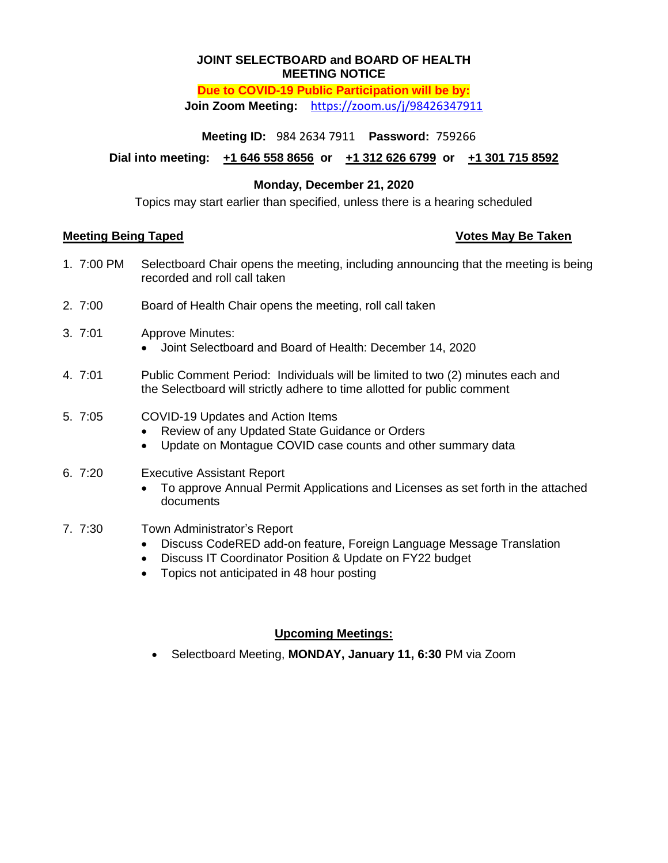#### **JOINT SELECTBOARD and BOARD OF HEALTH MEETING NOTICE**

### **Due to COVID-19 Public Participation will be by: Join Zoom Meeting:** <https://zoom.us/j/98426347911>

**Meeting ID:** 984 2634 7911 **Password:** 759266

**Dial into meeting: +1 646 558 8656 or +1 312 626 6799 or +1 301 715 8592**

## **Monday, December 21, 2020**

Topics may start earlier than specified, unless there is a hearing scheduled

### **Meeting Being Taped Votes May Be Taken**

- 1. 7:00 PM Selectboard Chair opens the meeting, including announcing that the meeting is being recorded and roll call taken
- 2. 7:00 Board of Health Chair opens the meeting, roll call taken
- 3. 7:01 Approve Minutes:
	- Joint Selectboard and Board of Health: December 14, 2020
- 4. 7:01 Public Comment Period: Individuals will be limited to two (2) minutes each and the Selectboard will strictly adhere to time allotted for public comment
- 5. 7:05 COVID-19 Updates and Action Items
	- Review of any Updated State Guidance or Orders
	- Update on Montague COVID case counts and other summary data
- 6. 7:20 Executive Assistant Report
	- To approve Annual Permit Applications and Licenses as set forth in the attached documents
- 7. 7:30 Town Administrator's Report
	- Discuss CodeRED add-on feature, Foreign Language Message Translation
	- Discuss IT Coordinator Position & Update on FY22 budget
	- Topics not anticipated in 48 hour posting

# **Upcoming Meetings:**

Selectboard Meeting, **MONDAY, January 11, 6:30** PM via Zoom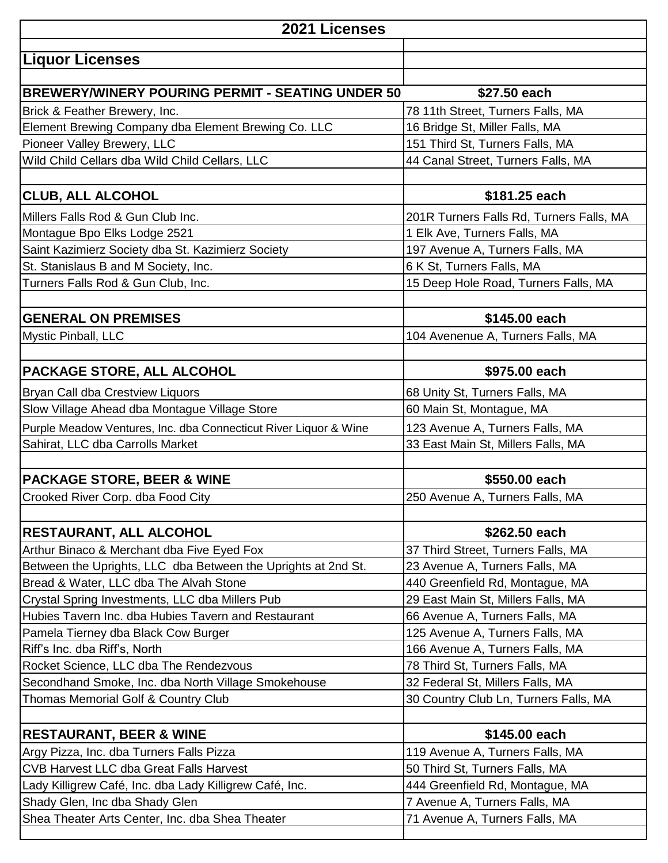| 2021 Licenses                                                                              |                                                                   |  |
|--------------------------------------------------------------------------------------------|-------------------------------------------------------------------|--|
| <b>Liquor Licenses</b>                                                                     |                                                                   |  |
|                                                                                            |                                                                   |  |
| <b>BREWERY/WINERY POURING PERMIT - SEATING UNDER 50</b>                                    | \$27.50 each                                                      |  |
| Brick & Feather Brewery, Inc.                                                              | 78 11th Street, Turners Falls, MA                                 |  |
| Element Brewing Company dba Element Brewing Co. LLC                                        | 16 Bridge St, Miller Falls, MA                                    |  |
| Pioneer Valley Brewery, LLC                                                                | 151 Third St, Turners Falls, MA                                   |  |
| Wild Child Cellars dba Wild Child Cellars, LLC                                             | 44 Canal Street, Turners Falls, MA                                |  |
| <b>CLUB, ALL ALCOHOL</b>                                                                   | \$181.25 each                                                     |  |
| Millers Falls Rod & Gun Club Inc.                                                          | 201R Turners Falls Rd, Turners Falls, MA                          |  |
| Montague Bpo Elks Lodge 2521                                                               | 1 Elk Ave, Turners Falls, MA                                      |  |
| Saint Kazimierz Society dba St. Kazimierz Society                                          | 197 Avenue A, Turners Falls, MA                                   |  |
| St. Stanislaus B and M Society, Inc.                                                       | 6 K St, Turners Falls, MA                                         |  |
| Turners Falls Rod & Gun Club, Inc.                                                         | 15 Deep Hole Road, Turners Falls, MA                              |  |
|                                                                                            |                                                                   |  |
| <b>GENERAL ON PREMISES</b>                                                                 | \$145.00 each                                                     |  |
| Mystic Pinball, LLC                                                                        | 104 Avenenue A, Turners Falls, MA                                 |  |
| PACKAGE STORE, ALL ALCOHOL                                                                 | \$975.00 each                                                     |  |
| Bryan Call dba Crestview Liquors                                                           | 68 Unity St, Turners Falls, MA                                    |  |
| Slow Village Ahead dba Montague Village Store                                              | 60 Main St, Montague, MA                                          |  |
| Purple Meadow Ventures, Inc. dba Connecticut River Liquor & Wine                           | 123 Avenue A, Turners Falls, MA                                   |  |
| Sahirat, LLC dba Carrolls Market                                                           | 33 East Main St, Millers Falls, MA                                |  |
|                                                                                            |                                                                   |  |
| <b>PACKAGE STORE, BEER &amp; WINE</b>                                                      | \$550.00 each                                                     |  |
| Crooked River Corp. dba Food City                                                          | 250 Avenue A, Turners Falls, MA                                   |  |
|                                                                                            |                                                                   |  |
| <b>RESTAURANT, ALL ALCOHOL</b>                                                             | \$262.50 each                                                     |  |
| Arthur Binaco & Merchant dba Five Eyed Fox                                                 | 37 Third Street, Turners Falls, MA                                |  |
| Between the Uprights, LLC dba Between the Uprights at 2nd St.                              | 23 Avenue A, Turners Falls, MA                                    |  |
| Bread & Water, LLC dba The Alvah Stone                                                     | 440 Greenfield Rd, Montague, MA                                   |  |
| Crystal Spring Investments, LLC dba Millers Pub                                            | 29 East Main St, Millers Falls, MA                                |  |
| Hubies Tavern Inc. dba Hubies Tavern and Restaurant                                        | 66 Avenue A, Turners Falls, MA                                    |  |
| Pamela Tierney dba Black Cow Burger                                                        | 125 Avenue A, Turners Falls, MA                                   |  |
| Riff's Inc. dba Riff's, North                                                              | 166 Avenue A, Turners Falls, MA                                   |  |
| Rocket Science, LLC dba The Rendezvous                                                     | 78 Third St, Turners Falls, MA                                    |  |
| Secondhand Smoke, Inc. dba North Village Smokehouse                                        | 32 Federal St, Millers Falls, MA                                  |  |
| Thomas Memorial Golf & Country Club                                                        | 30 Country Club Ln, Turners Falls, MA                             |  |
| <b>RESTAURANT, BEER &amp; WINE</b>                                                         | \$145.00 each                                                     |  |
|                                                                                            |                                                                   |  |
| Argy Pizza, Inc. dba Turners Falls Pizza<br><b>CVB Harvest LLC dba Great Falls Harvest</b> | 119 Avenue A, Turners Falls, MA                                   |  |
| Lady Killigrew Café, Inc. dba Lady Killigrew Café, Inc.                                    | 50 Third St, Turners Falls, MA<br>444 Greenfield Rd, Montague, MA |  |
| Shady Glen, Inc dba Shady Glen                                                             | 7 Avenue A, Turners Falls, MA                                     |  |
| Shea Theater Arts Center, Inc. dba Shea Theater                                            | 71 Avenue A, Turners Falls, MA                                    |  |
|                                                                                            |                                                                   |  |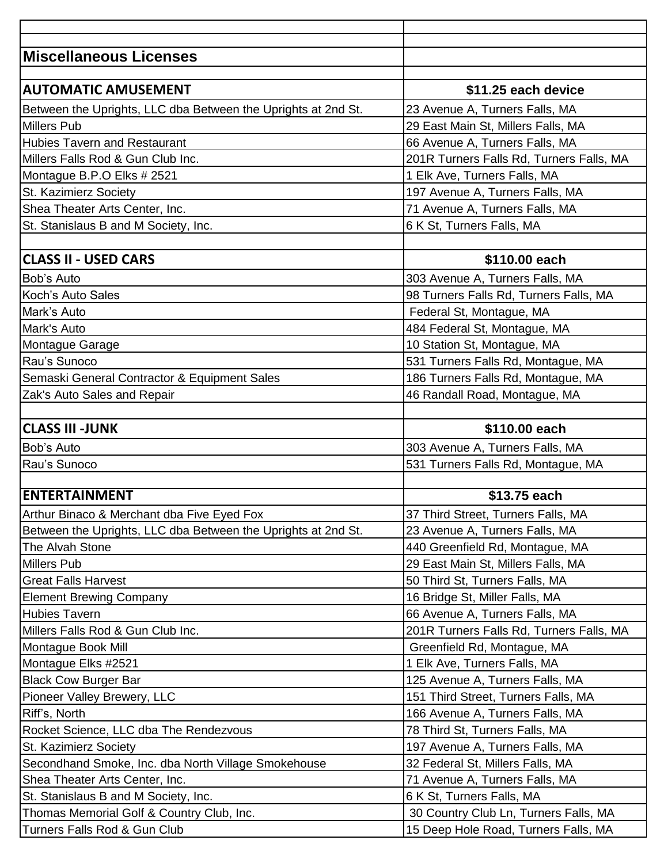| <b>Miscellaneous Licenses</b>                                 |                                          |
|---------------------------------------------------------------|------------------------------------------|
|                                                               |                                          |
| <b>AUTOMATIC AMUSEMENT</b>                                    | \$11.25 each device                      |
| Between the Uprights, LLC dba Between the Uprights at 2nd St. | 23 Avenue A, Turners Falls, MA           |
| <b>Millers Pub</b>                                            | 29 East Main St, Millers Falls, MA       |
| <b>Hubies Tavern and Restaurant</b>                           | 66 Avenue A, Turners Falls, MA           |
| Millers Falls Rod & Gun Club Inc.                             | 201R Turners Falls Rd, Turners Falls, MA |
| Montague B.P.O Elks # 2521                                    | 1 Elk Ave, Turners Falls, MA             |
| St. Kazimierz Society                                         | 197 Avenue A, Turners Falls, MA          |
| Shea Theater Arts Center, Inc.                                | 71 Avenue A, Turners Falls, MA           |
| St. Stanislaus B and M Society, Inc.                          | 6 K St, Turners Falls, MA                |
|                                                               |                                          |
| <b>CLASS II - USED CARS</b>                                   | \$110.00 each                            |
| Bob's Auto                                                    | 303 Avenue A, Turners Falls, MA          |
| Koch's Auto Sales                                             | 98 Turners Falls Rd, Turners Falls, MA   |
| Mark's Auto                                                   | Federal St, Montague, MA                 |
| Mark's Auto                                                   | 484 Federal St, Montague, MA             |
| Montague Garage                                               | 10 Station St, Montague, MA              |
| Rau's Sunoco                                                  | 531 Turners Falls Rd, Montague, MA       |
| Semaski General Contractor & Equipment Sales                  | 186 Turners Falls Rd, Montague, MA       |
| Zak's Auto Sales and Repair                                   | 46 Randall Road, Montague, MA            |
|                                                               |                                          |
| <b>CLASS III -JUNK</b>                                        | \$110.00 each                            |
| Bob's Auto                                                    | 303 Avenue A, Turners Falls, MA          |
| Rau's Sunoco                                                  | 531 Turners Falls Rd, Montague, MA       |
|                                                               |                                          |
| <b>ENTERTAINMENT</b>                                          | \$13.75 each                             |
| Arthur Binaco & Merchant dba Five Eyed Fox                    | 37 Third Street, Turners Falls, MA       |
| Between the Uprights, LLC dba Between the Uprights at 2nd St. | 23 Avenue A, Turners Falls, MA           |
| The Alvah Stone                                               | 440 Greenfield Rd, Montague, MA          |
| Millers Pub                                                   | 29 East Main St, Millers Falls, MA       |
| <b>Great Falls Harvest</b>                                    | 50 Third St, Turners Falls, MA           |
| <b>Element Brewing Company</b>                                | 16 Bridge St, Miller Falls, MA           |
| <b>Hubies Tavern</b>                                          | 66 Avenue A, Turners Falls, MA           |
| Millers Falls Rod & Gun Club Inc.                             | 201R Turners Falls Rd, Turners Falls, MA |
| Montague Book Mill                                            | Greenfield Rd, Montague, MA              |
| Montague Elks #2521                                           | 1 Elk Ave, Turners Falls, MA             |
| <b>Black Cow Burger Bar</b>                                   | 125 Avenue A, Turners Falls, MA          |
| Pioneer Valley Brewery, LLC                                   | 151 Third Street, Turners Falls, MA      |
| Riff's, North                                                 | 166 Avenue A, Turners Falls, MA          |
| Rocket Science, LLC dba The Rendezvous                        | 78 Third St, Turners Falls, MA           |
| St. Kazimierz Society                                         | 197 Avenue A, Turners Falls, MA          |
| Secondhand Smoke, Inc. dba North Village Smokehouse           | 32 Federal St, Millers Falls, MA         |
| Shea Theater Arts Center, Inc.                                | 71 Avenue A, Turners Falls, MA           |
| St. Stanislaus B and M Society, Inc.                          | 6 K St, Turners Falls, MA                |
| Thomas Memorial Golf & Country Club, Inc.                     | 30 Country Club Ln, Turners Falls, MA    |
| Turners Falls Rod & Gun Club                                  | 15 Deep Hole Road, Turners Falls, MA     |